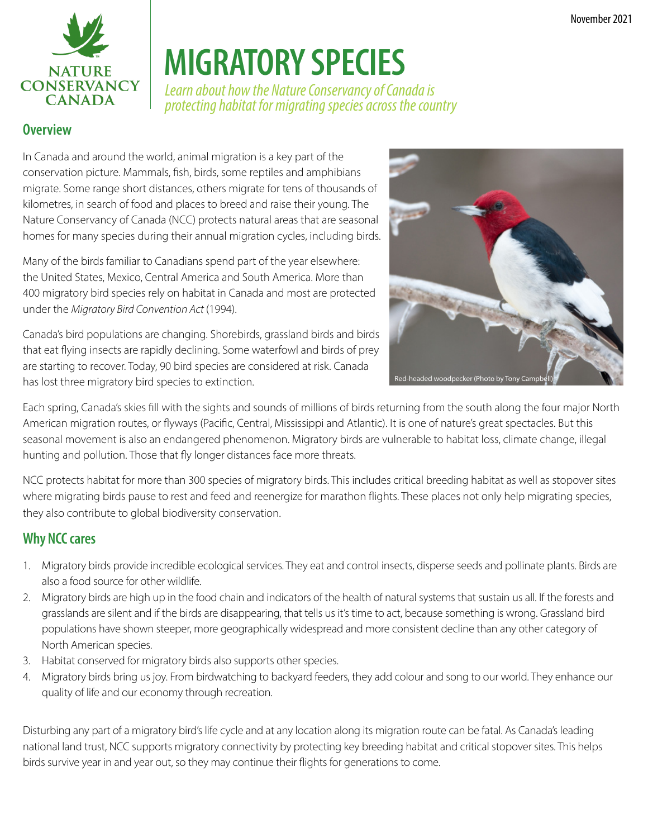

# **MIGRATORY SPECIES**

*Learn about how the Nature Conservancy of Canada is protecting habitat for migrating species across the country*

#### **Overview**

In Canada and around the world, animal migration is a key part of the conservation picture. Mammals, fish, birds, some reptiles and amphibians migrate. Some range short distances, others migrate for tens of thousands of kilometres, in search of food and places to breed and raise their young. The Nature Conservancy of Canada (NCC) protects natural areas that are seasonal homes for many species during their annual migration cycles, including birds.

Many of the birds familiar to Canadians spend part of the year elsewhere: the United States, Mexico, Central America and South America. More than 400 migratory bird species rely on habitat in Canada and most are protected under the *Migratory Bird Convention Act* (1994).

Canada's bird populations are changing. Shorebirds, grassland birds and birds that eat flying insects are rapidly declining. Some waterfowl and birds of prey are starting to recover. Today, 90 bird species are considered at risk. Canada has lost three migratory bird species to extinction.



Each spring, Canada's skies fill with the sights and sounds of millions of birds returning from the south along the four major North American migration routes, or flyways (Pacific, Central, Mississippi and Atlantic). It is one of nature's great spectacles. But this seasonal movement is also an endangered phenomenon. Migratory birds are vulnerable to habitat loss, climate change, illegal hunting and pollution. Those that fly longer distances face more threats.

NCC protects habitat for more than 300 species of migratory birds. This includes critical breeding habitat as well as stopover sites where migrating birds pause to rest and feed and reenergize for marathon flights. These places not only help migrating species, they also contribute to global biodiversity conservation.

### **Why NCC cares**

- 1. Migratory birds provide incredible ecological services. They eat and control insects, disperse seeds and pollinate plants. Birds are also a food source for other wildlife.
- 2. Migratory birds are high up in the food chain and indicators of the health of natural systems that sustain us all. If the forests and grasslands are silent and if the birds are disappearing, that tells us it's time to act, because something is wrong. Grassland bird populations have shown steeper, more geographically widespread and more consistent decline than any other category of North American species.
- 3. Habitat conserved for migratory birds also supports other species.
- 4. Migratory birds bring us joy. From birdwatching to backyard feeders, they add colour and song to our world. They enhance our quality of life and our economy through recreation.

Disturbing any part of a migratory bird's life cycle and at any location along its migration route can be fatal. As Canada's leading national land trust, NCC supports migratory connectivity by protecting key breeding habitat and critical stopover sites. This helps birds survive year in and year out, so they may continue their flights for generations to come.